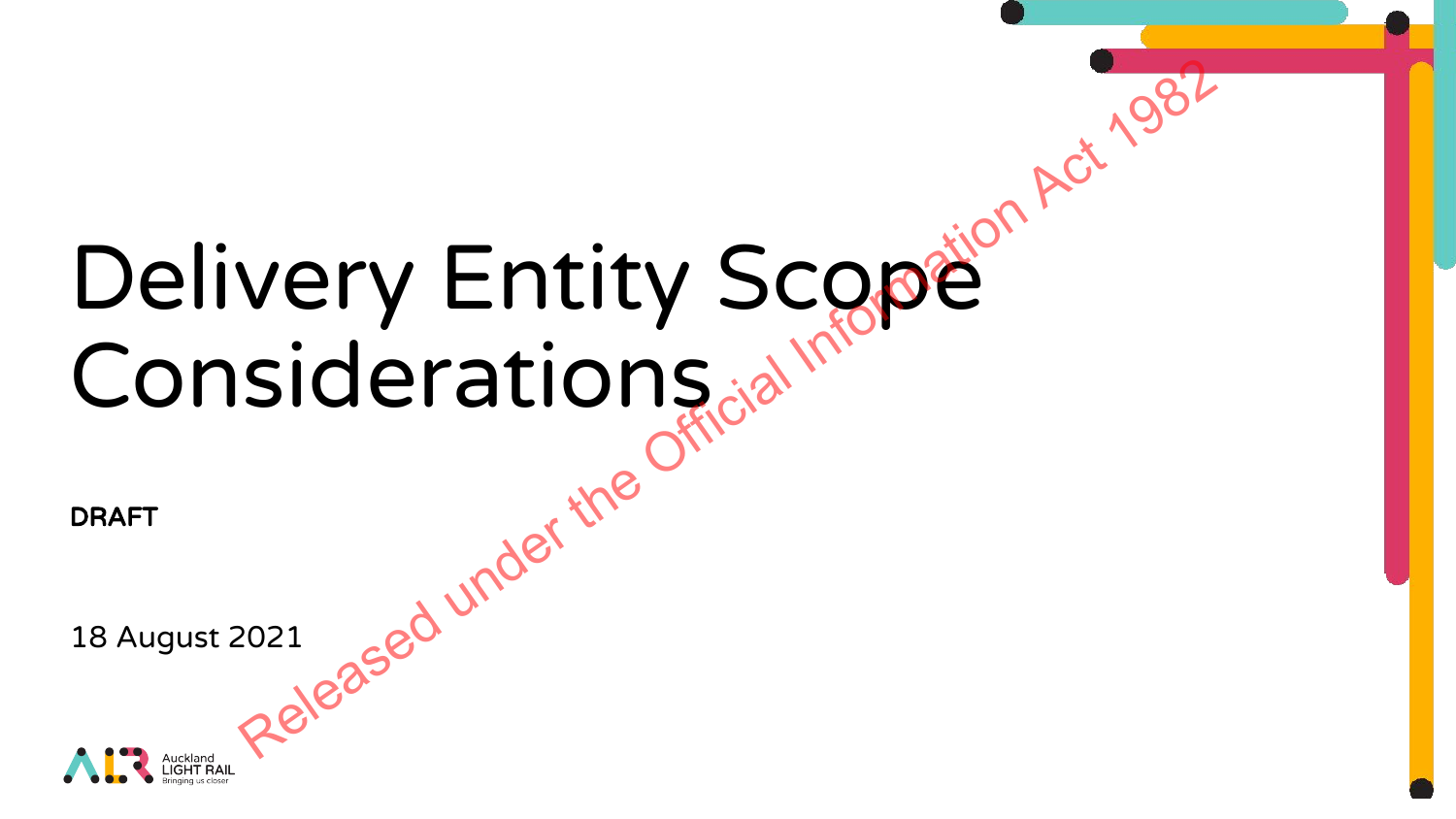# Delivery Entity Scope Considerations DRAFT<br>18 August 2021<br>Released Under the very Entity Scope<sup>ion Act 1982</sup><br>siderations at <sup>Information</sup><br>Released under the Official Information Act 1982

DRAFT

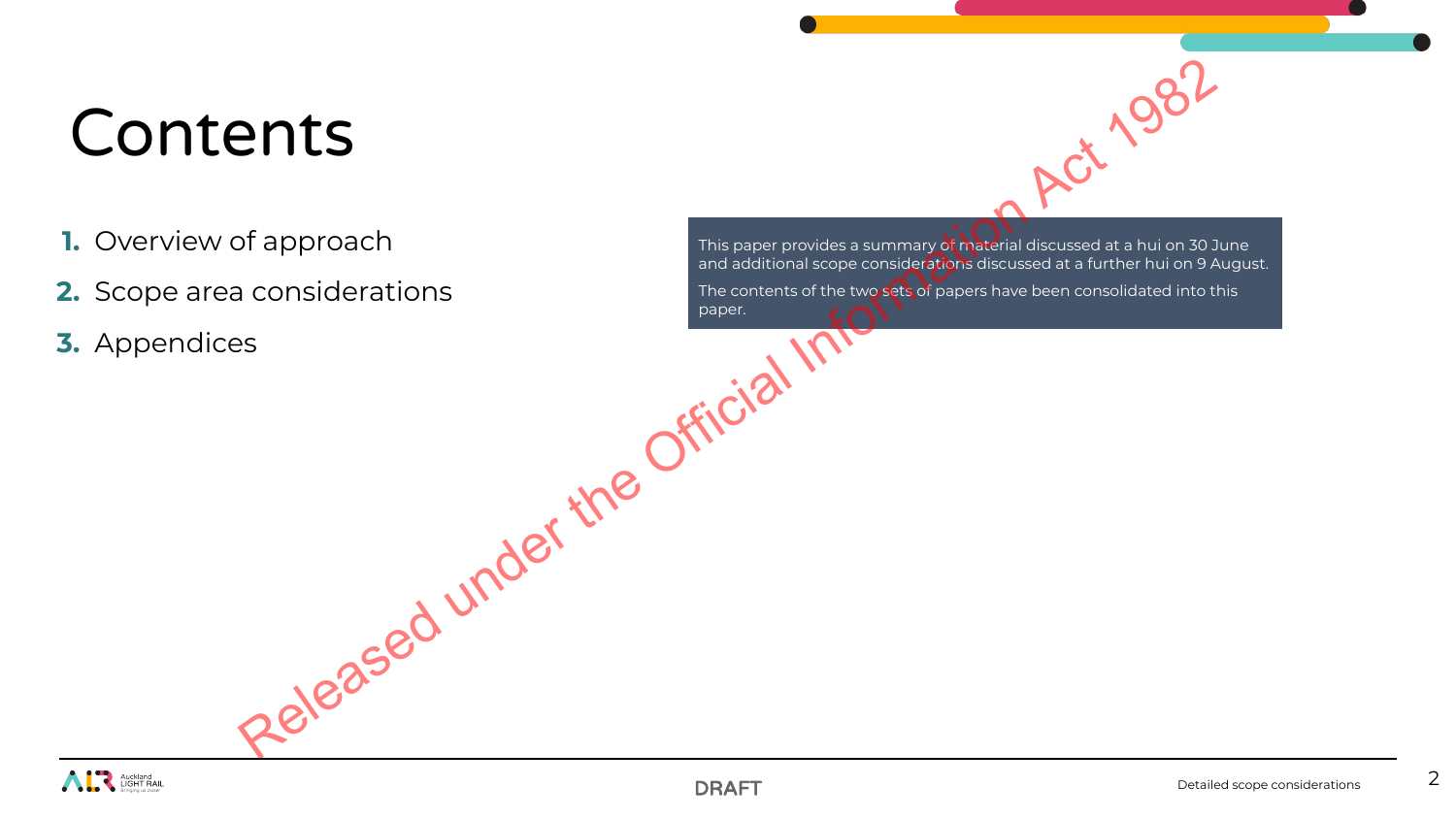# Contents

- **1.** Overview of approach
- **2.** Scope area considerations
- **3.** Appendices

This paper provides a summary of material discussed at a hui on 30 June and additional scope considerations discussed at a further hui on 9 August. The contents of the two sets of papers have been consolidated into this paper. ents<br>
of approach<br>
a considerations<br>
as considerations<br>
as considerations<br>
Released under the Official Information Act 1982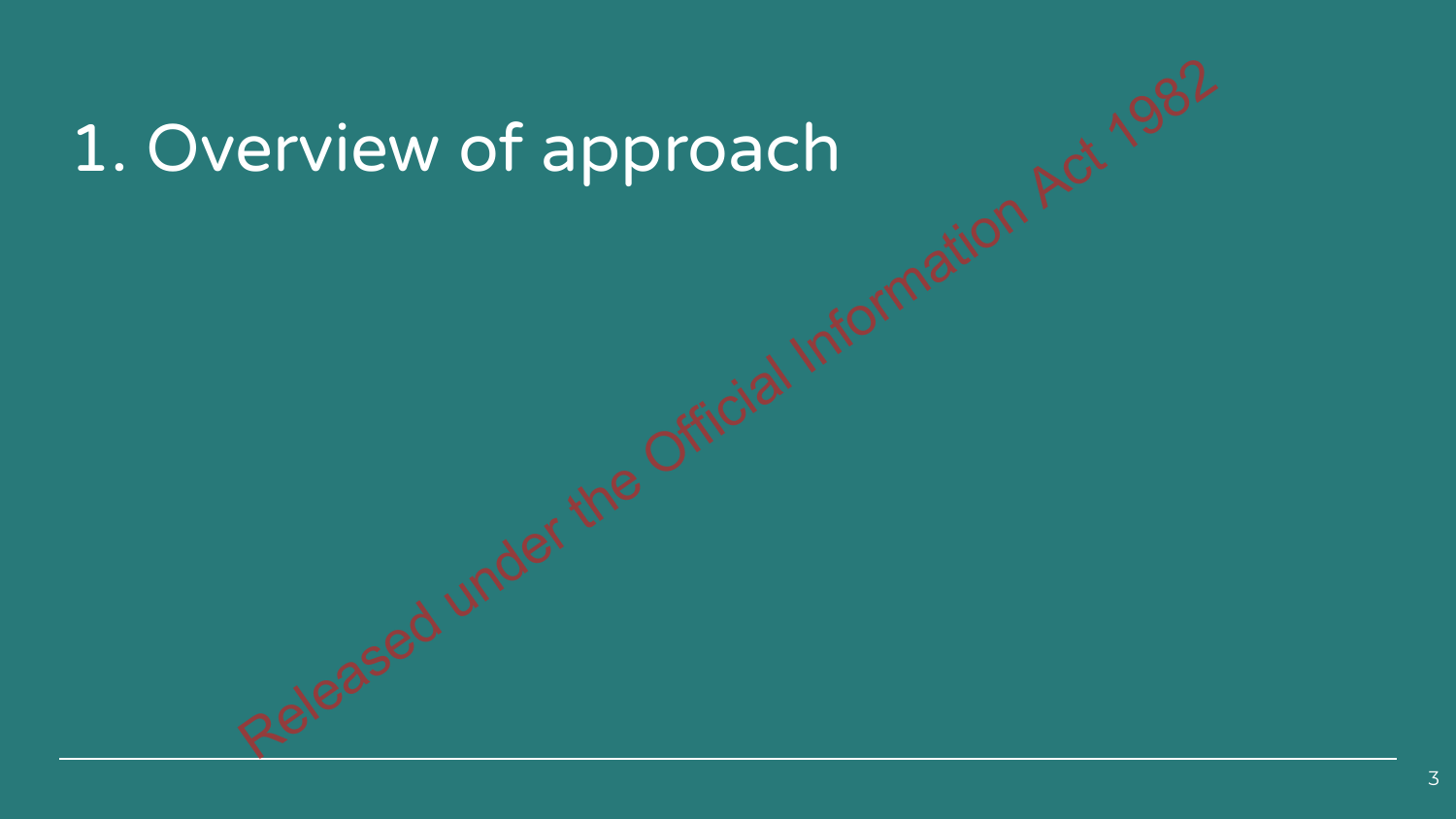# 1. Overview of approach Released under the Official Information Act 1982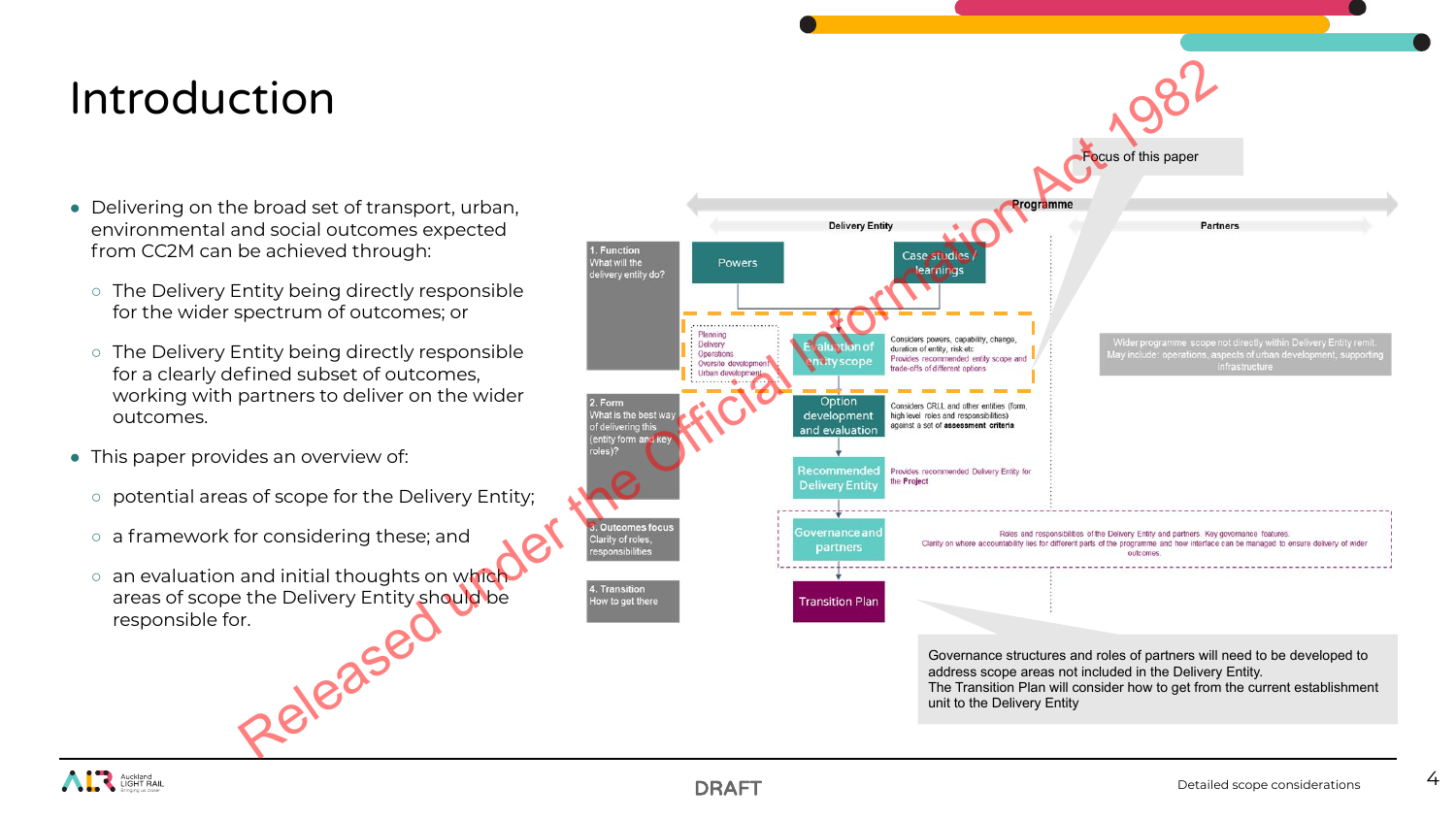# Introduction

- **●** Delivering on the broad set of transport, urban, environmental and social outcomes expected from CC2M can be achieved through:
	- The Delivery Entity being directly responsible for the wider spectrum of outcomes; or
	- The Delivery Entity being directly responsible for a clearly defined subset of outcomes, working with partners to deliver on the wider outcomes.
- **●** This paper provides an overview of:
	- potential areas of scope for the Delivery Entity;
	- a framework for considering these; and
	- o an evaluation and initial thoughts on which areas of scope the Delivery Entity should be responsible for.



address scope areas not included in the Delivery Entity. The Transition Plan will consider how to get from the current establishment unit to the Delivery Entity

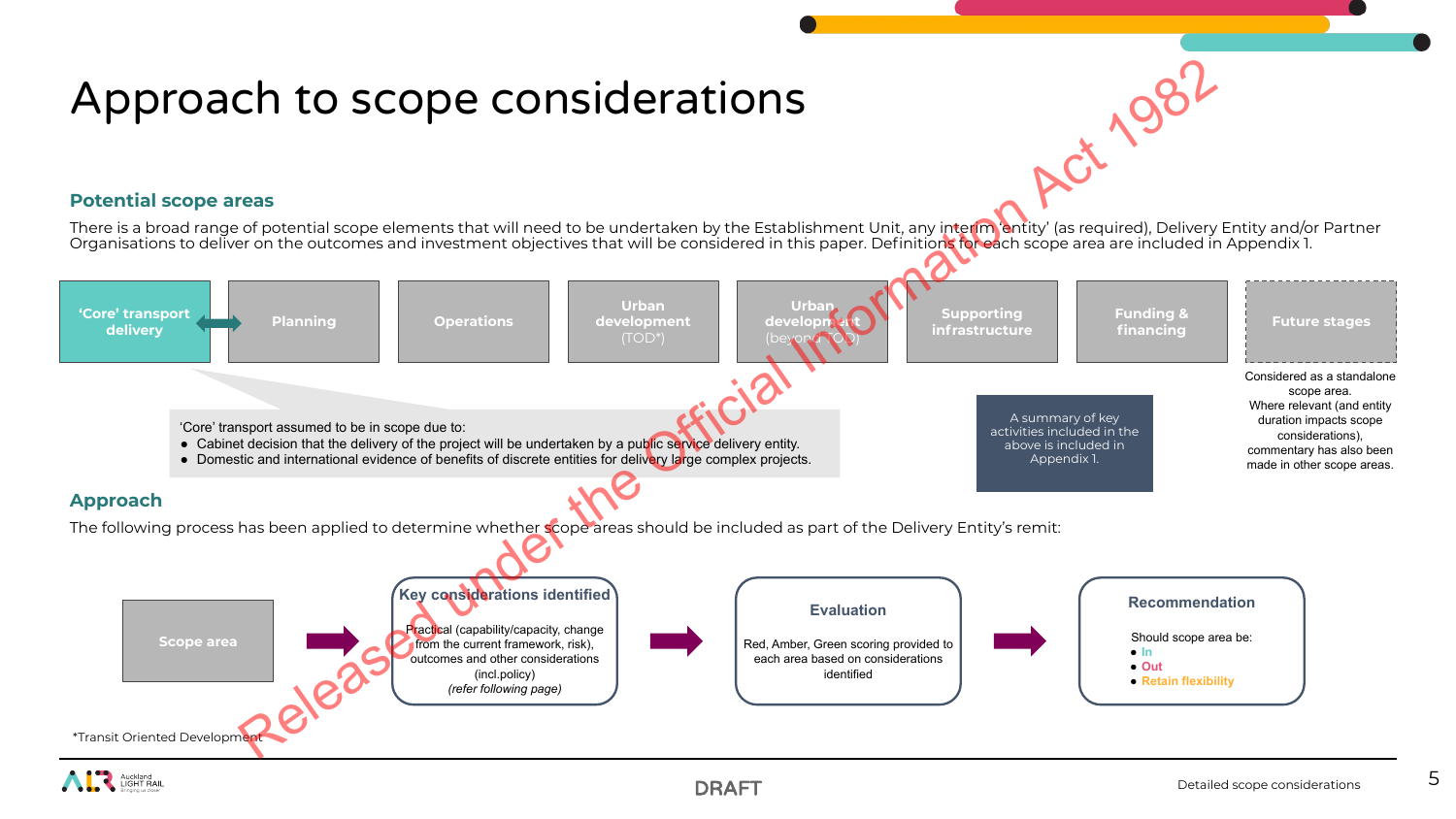## Approach to scope considerations

**Potential scope areas**

There is a broad range of potential scope elements that will need to be undertaken by the Establishment Unit, any interim 'entity' (as required), Delivery Entity and/or Partner Organisations to deliver on the outcomes and investment objectives that will be considered in this paper. Definitions for each scope area are included in Appendix 1.



5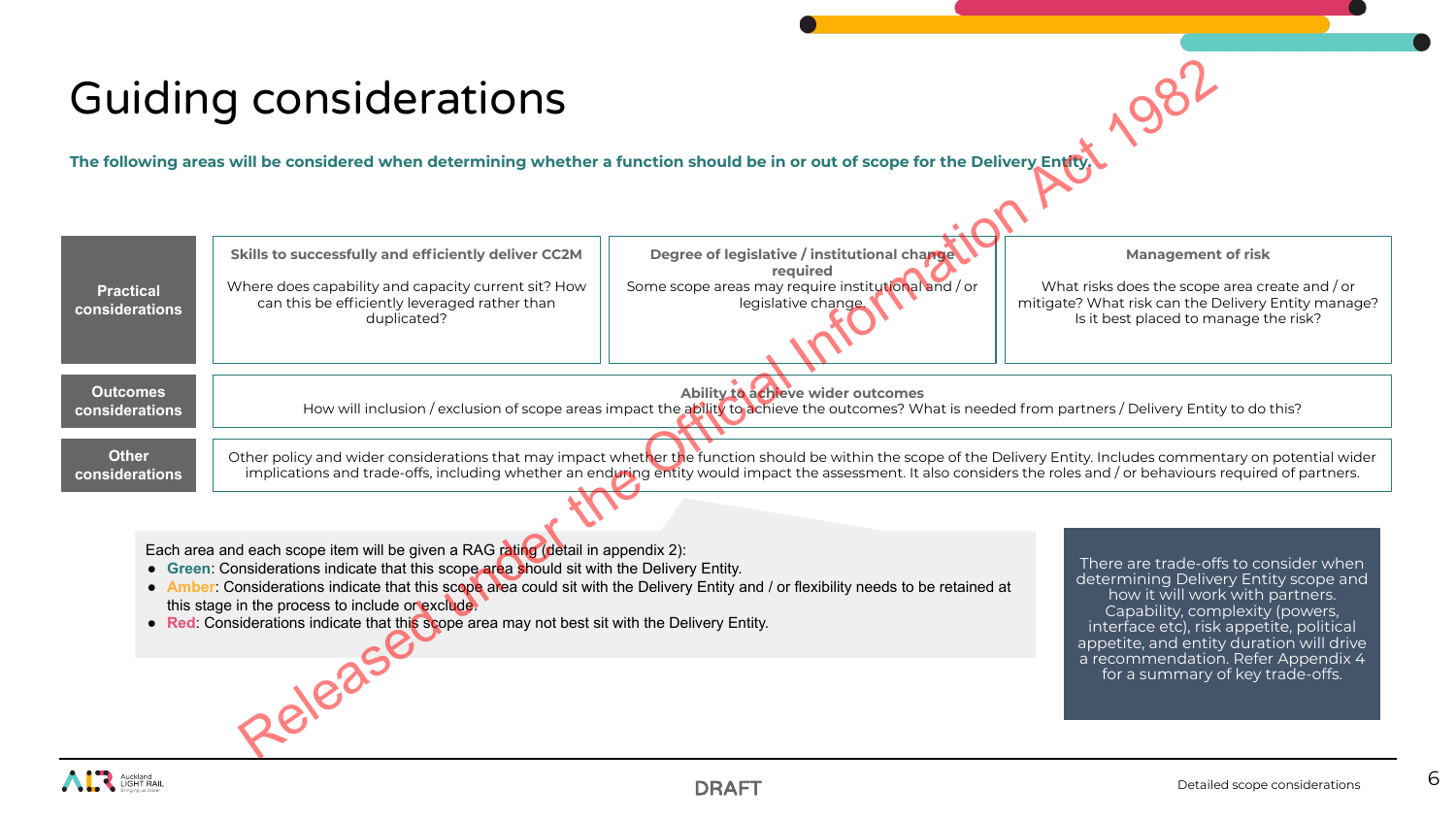# Guiding considerations

|                                                                                                                                                                                                                                                                                                                                                                                                                                                                                                                                                                                                                                                                                                                                                                                                         | <b>Guiding considerations</b>                                                                                                                                                                                                                                                                                                                                                                                                                                                                                                                                                 |                                                                                                                                        |                                                                                                                                                                             |  |  |  |  |
|---------------------------------------------------------------------------------------------------------------------------------------------------------------------------------------------------------------------------------------------------------------------------------------------------------------------------------------------------------------------------------------------------------------------------------------------------------------------------------------------------------------------------------------------------------------------------------------------------------------------------------------------------------------------------------------------------------------------------------------------------------------------------------------------------------|-------------------------------------------------------------------------------------------------------------------------------------------------------------------------------------------------------------------------------------------------------------------------------------------------------------------------------------------------------------------------------------------------------------------------------------------------------------------------------------------------------------------------------------------------------------------------------|----------------------------------------------------------------------------------------------------------------------------------------|-----------------------------------------------------------------------------------------------------------------------------------------------------------------------------|--|--|--|--|
| The following areas will be considered when determining whether a function should be in or out of scope for the Delivery Entity                                                                                                                                                                                                                                                                                                                                                                                                                                                                                                                                                                                                                                                                         |                                                                                                                                                                                                                                                                                                                                                                                                                                                                                                                                                                               |                                                                                                                                        |                                                                                                                                                                             |  |  |  |  |
| <b>Practical</b><br>considerations                                                                                                                                                                                                                                                                                                                                                                                                                                                                                                                                                                                                                                                                                                                                                                      | Skills to successfully and efficiently deliver CC2M<br>Where does capability and capacity current sit? How<br>can this be efficiently leveraged rather than<br>duplicated?                                                                                                                                                                                                                                                                                                                                                                                                    | Degree of legislative / institutional change<br>required<br>Some scope areas may require institutional and / or<br>legislative change. | <b>Management of risk</b><br>What risks does the scope area create and / or<br>mitigate? What risk can the Delivery Entity manage?<br>Is it best placed to manage the risk? |  |  |  |  |
| <b>Outcomes</b><br><b>Other</b>                                                                                                                                                                                                                                                                                                                                                                                                                                                                                                                                                                                                                                                                                                                                                                         | Ability to achieve wider outcomes<br>How will inclusion / exclusion of scope areas impact the ability to achieve the outcomes? What is needed from partners / Delivery Entity to do this?<br>considerations<br>Other policy and wider considerations that may impact whether the function should be within the scope of the Delivery Entity. Includes commentary on potential wider<br>implications and trade-offs, including whether an enduring entity would impact the assessment. It also considers the roles and / or behaviours required of partners.<br>considerations |                                                                                                                                        |                                                                                                                                                                             |  |  |  |  |
| Each area and each scope item will be given a RAG rating (detail in appendix 2):<br>There are trade-offs to consider when<br>• Green: Considerations indicate that this scope area should sit with the Delivery Entity.<br>determining Delivery Entity scope and<br>• Amber: Considerations indicate that this scope area could sit with the Delivery Entity and / or flexibility needs to be retained at<br>how it will work with partners.<br>this stage in the process to include or exclude.<br>Capability, complexity (powers,<br>• Red: Considerations indicate that this scope area may not best sit with the Delivery Entity.<br>interface etc), risk appetite, political<br>appetite, and entity duration will drive<br>a recommendation. Refer Appendix 4<br>for a summary of key trade-offs. |                                                                                                                                                                                                                                                                                                                                                                                                                                                                                                                                                                               |                                                                                                                                        |                                                                                                                                                                             |  |  |  |  |
| 0,1885t                                                                                                                                                                                                                                                                                                                                                                                                                                                                                                                                                                                                                                                                                                                                                                                                 |                                                                                                                                                                                                                                                                                                                                                                                                                                                                                                                                                                               |                                                                                                                                        |                                                                                                                                                                             |  |  |  |  |

- **Green**: Considerations indicate that this scope area should sit with the Delivery Entity.
- **Amber:** Considerations indicate that this scope area could sit with the Delivery Entity and / or flexibility needs to be retained at this stage in the process to include or exclude.
- **Red**: Considerations indicate that this scope area may not best sit with the Delivery Entity.

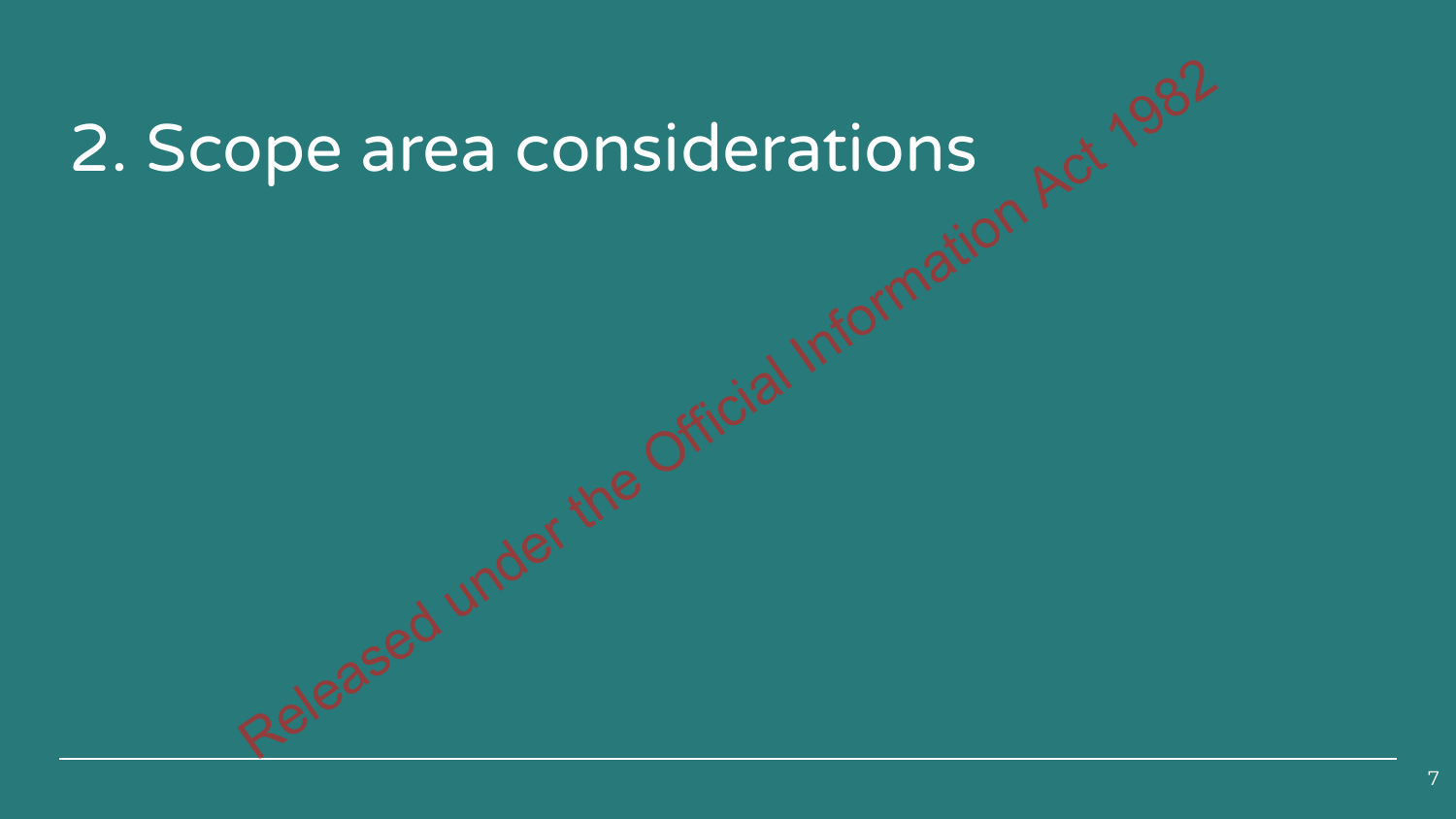# 2. Scope area considerations Released under the Official Information Act 1982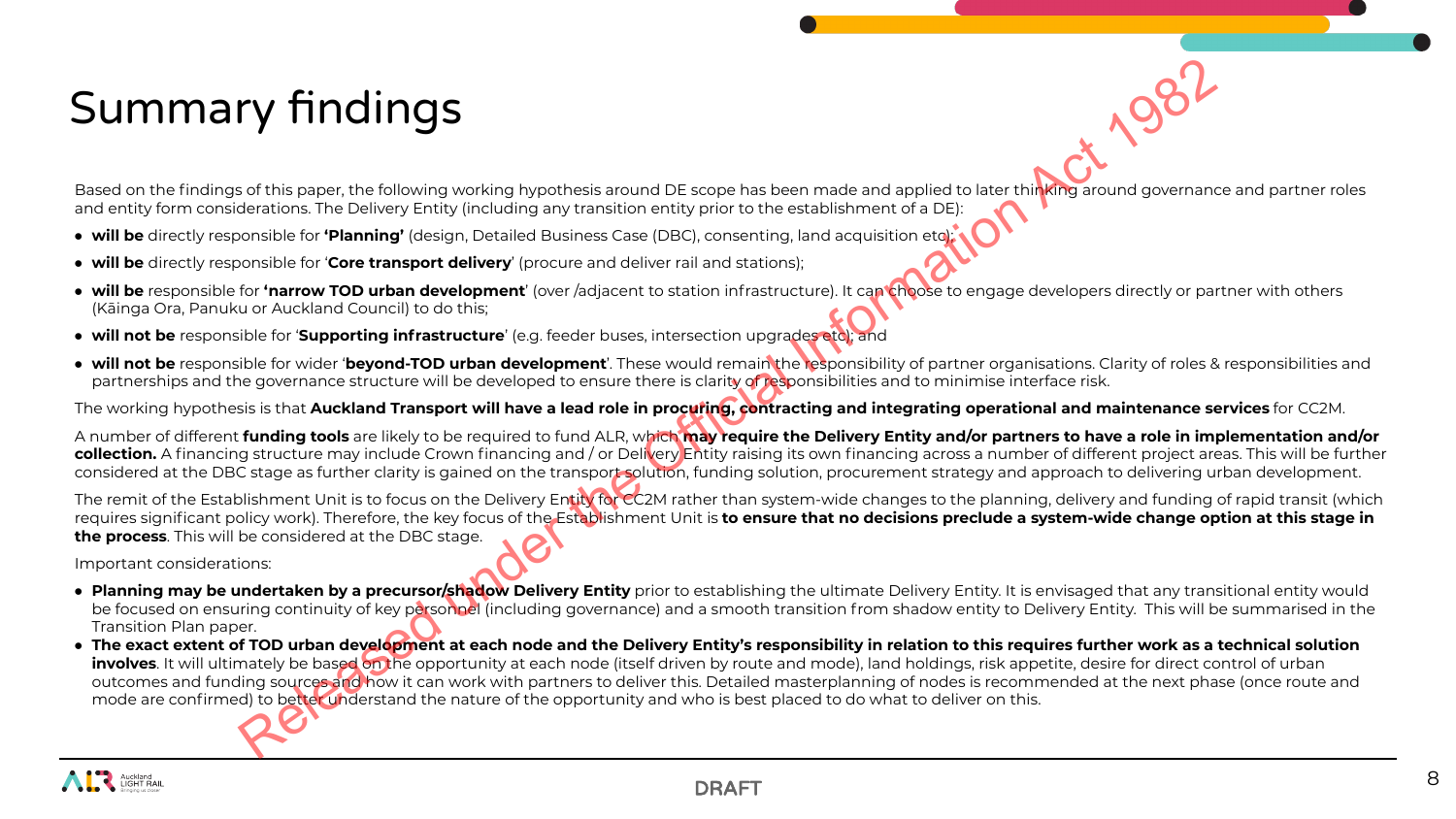# Summary findings

Based on the findings of this paper, the following working hypothesis around DE scope has been made and applied to later thinking around governance and partner roles and entity form considerations. The Delivery Entity (including any transition entity prior to the establishment of a DE):

- **will be** directly responsible for **'Planning'** (design, Detailed Business Case (DBC), consenting, land acquisition etc);
- **will be** directly responsible for '**Core transport delivery**' (procure and deliver rail and stations);
- **will be** responsible for **'narrow TOD urban development**' (over /adjacent to station infrastructure). It can choose to engage developers directly or partner with others (Kāinga Ora, Panuku or Auckland Council) to do this;
- **will not be** responsible for '**Supporting infrastructure**' (e.g. feeder buses, intersection upgrades etc); and
- **will not be** responsible for wider '**beyond-TOD urban development**'. These would remain the responsibility of partner organisations. Clarity of roles & responsibilities and partnerships and the governance structure will be developed to ensure there is clarity of responsibilities and to minimise interface risk.

The working hypothesis is that **Auckland Transport will have a lead role in procuring, contracting and integrating operational and maintenance services** for CC2M.

A number of different **funding tools** are likely to be required to fund ALR, which **may require the Delivery Entity and/or partners to have a role in implementation and/or collection.** A financing structure may include Crown financing and / or Delivery Entity raising its own financing across a number of different project areas. This will be further considered at the DBC stage as further clarity is gained on the transport solution, funding solution, procurement strategy and approach to delivering urban development.

The remit of the Establishment Unit is to focus on the Delivery Entity for CC2M rather than system-wide changes to the planning, delivery and funding of rapid transit (which requires significant policy work). Therefore, the key focus of the Establishment Unit is **to ensure that no decisions preclude a system-wide change option at this stage in the process**. This will be considered at the DBC stage.

Important considerations:

- **Planning may be undertaken by a precursor/shadow Delivery Entity** prior to establishing the ultimate Delivery Entity. It is envisaged that any transitional entity would be focused on ensuring continuity of key personnel (including governance) and a smooth transition from shadow entity to Delivery Entity. This will be summarised in the Transition Plan paper.
- **The exact extent of TOD urban development at each node and the Delivery Entity's responsibility in relation to this requires further work as a technical solution involves**. It will ultimately be based on the opportunity at each node (itself driven by route and mode), land holdings, risk appetite, desire for direct control of urban outcomes and funding sources and how it can work with partners to deliver this. Detailed masterplanning of nodes is recommended at the next phase (once route and mode are confirmed) to better understand the nature of the opportunity and who is best placed to do what to deliver on this. Ry finding took are following working hypothesis around DE scope has been made and applied to later the MPS around governance<br>behalom. The Delwey intry (including any transition entity prior to the establishment of a DH.<br>C

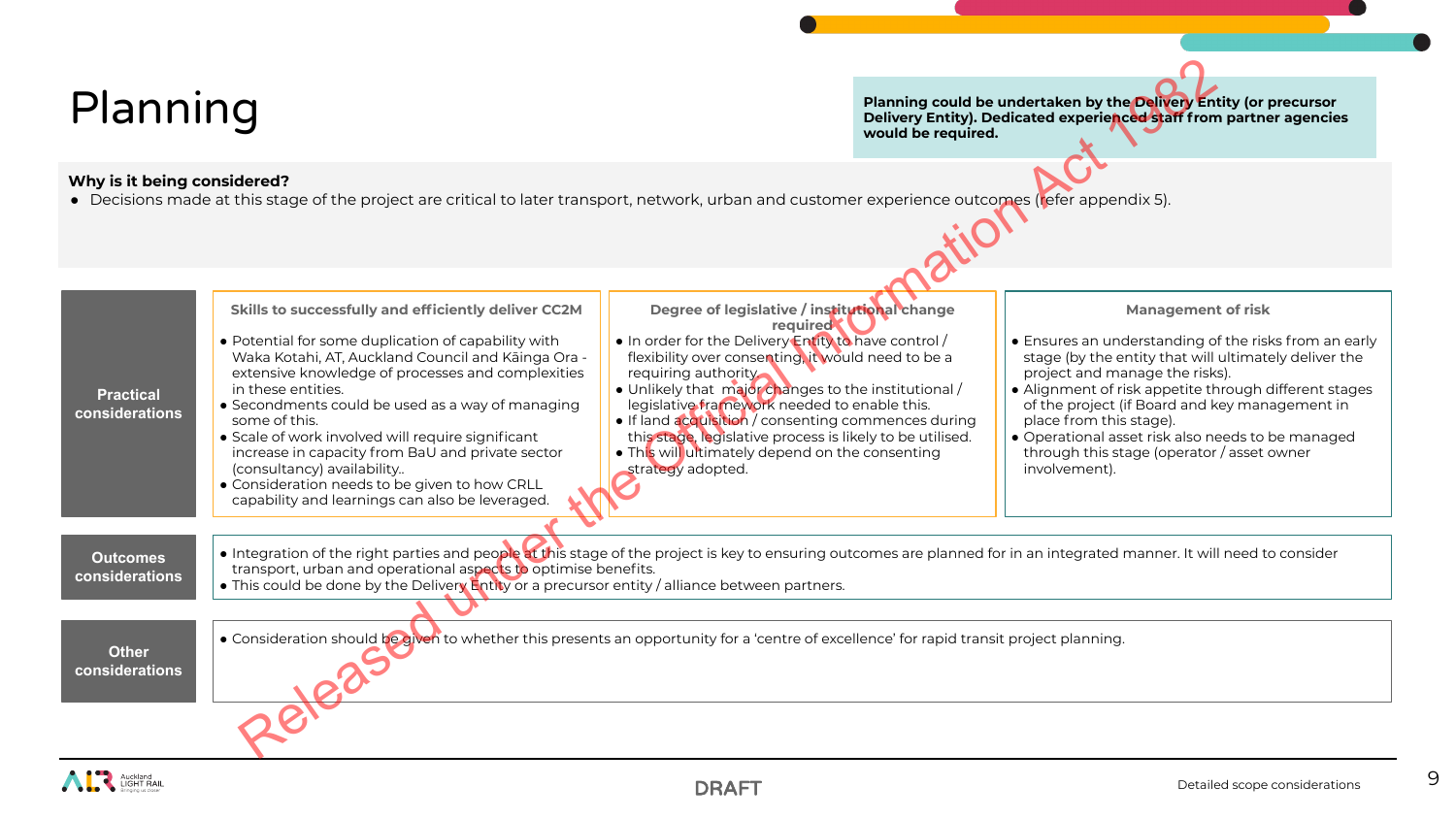# Planning

**Planning could be undertaken by the Delivery Entity (or precursor Delivery Entity). Dedicated experienced staff from partner agencies would be required.** 

### **Why is it being considered?**

● Decisions made at this stage of the project are critical to later transport, network, urban and customer experience outcomes (refer appendix 5).

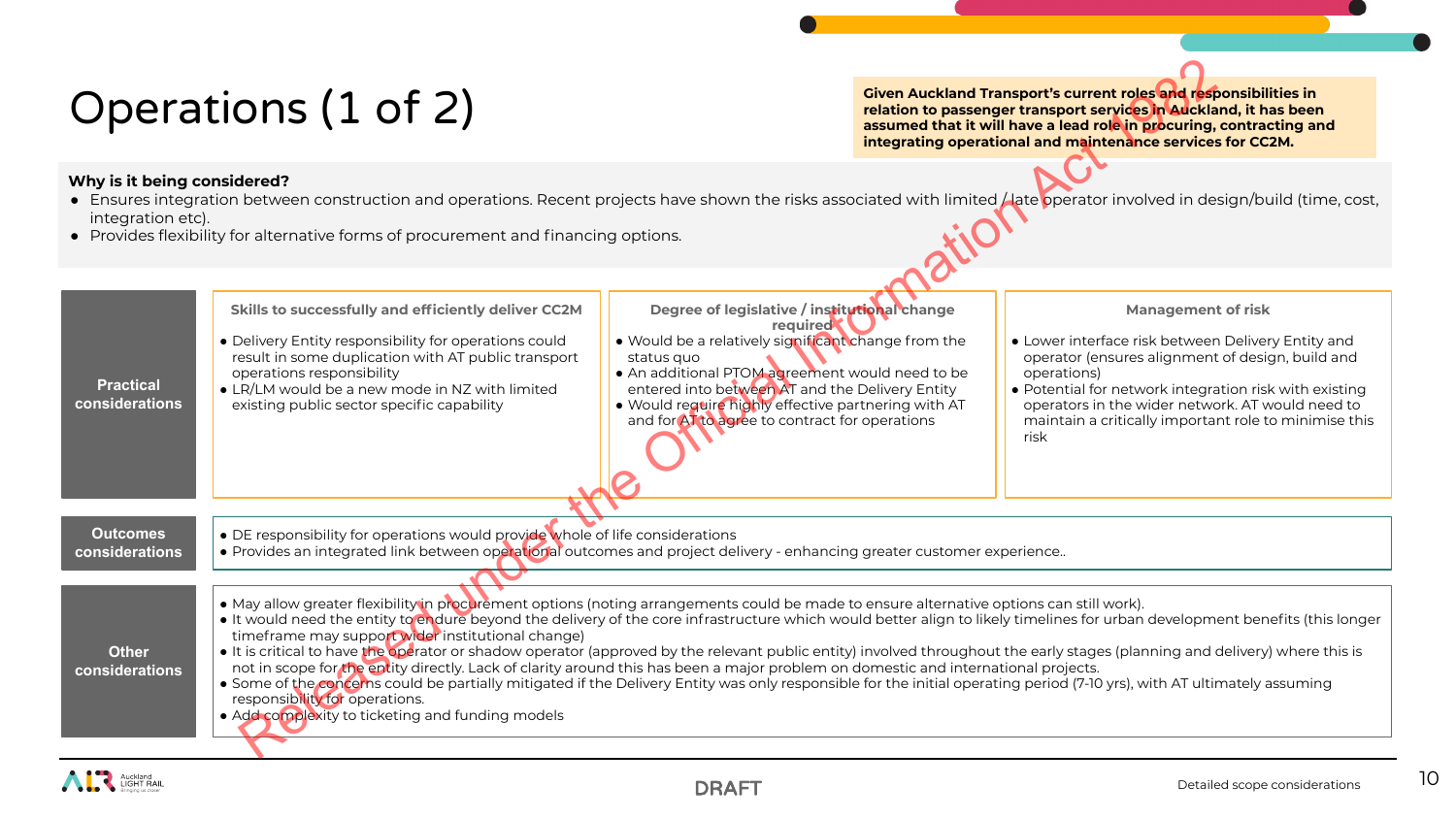# Operations (1 of 2)

- Ensures integration between construction and operations. Recent projects have shown the risks associated with limited / late operator involved in design/build (time, cost, integration etc).
- Provides flexibility for alternative forms of procurement and financing options.

| Operations (1 of 2)                                                                                                                                                                                                                                                                                                     |                                                                                                                                                                                                                                                                                                                                                                                                                                                                                                                                                                                                                                                                                                                                                                                                                                                                                                                                                                       | <b>Given Auckland Transport's current roles and responsibilities in</b><br>relation to passenger transport services in Auckland, it has been<br>assumed that it will have a lead role in procuring, contracting and<br>integrating operational and maintenance services for CC2M.                                                            |  |                                                                                                                                                                                                                                                                                                                                   |  |
|-------------------------------------------------------------------------------------------------------------------------------------------------------------------------------------------------------------------------------------------------------------------------------------------------------------------------|-----------------------------------------------------------------------------------------------------------------------------------------------------------------------------------------------------------------------------------------------------------------------------------------------------------------------------------------------------------------------------------------------------------------------------------------------------------------------------------------------------------------------------------------------------------------------------------------------------------------------------------------------------------------------------------------------------------------------------------------------------------------------------------------------------------------------------------------------------------------------------------------------------------------------------------------------------------------------|----------------------------------------------------------------------------------------------------------------------------------------------------------------------------------------------------------------------------------------------------------------------------------------------------------------------------------------------|--|-----------------------------------------------------------------------------------------------------------------------------------------------------------------------------------------------------------------------------------------------------------------------------------------------------------------------------------|--|
| Why is it being considered?<br>• Ensures integration between construction and operations. Recent projects have shown the risks associated with limited / late operator involved in design/build (time, cost,<br>integration etc).<br>• Provides flexibility for alternative forms of procurement and financing options. |                                                                                                                                                                                                                                                                                                                                                                                                                                                                                                                                                                                                                                                                                                                                                                                                                                                                                                                                                                       |                                                                                                                                                                                                                                                                                                                                              |  |                                                                                                                                                                                                                                                                                                                                   |  |
| <b>Practical</b><br>considerations                                                                                                                                                                                                                                                                                      | Skills to successfully and efficiently deliver CC2M<br>• Delivery Entity responsibility for operations could<br>result in some duplication with AT public transport<br>operations responsibility<br>• LR/LM would be a new mode in NZ with limited<br>existing public sector specific capability                                                                                                                                                                                                                                                                                                                                                                                                                                                                                                                                                                                                                                                                      | Degree of legislative / institutional change<br>required<br>. Would be a relatively significant change from the<br>status quo<br>• An additional PTOM agreement would need to be<br>entered into between AT and the Delivery Entity<br>. Would require highly effective partnering with AT<br>and for AT to agree to contract for operations |  | <b>Management of risk</b><br>• Lower interface risk between Delivery Entity and<br>operator (ensures alignment of design, build and<br>operations)<br>• Potential for network integration risk with existing<br>operators in the wider network. AT would need to<br>maintain a critically important role to minimise this<br>risk |  |
| <b>Outcomes</b><br>considerations                                                                                                                                                                                                                                                                                       | • DE responsibility for operations would provide whole of life considerations<br>• Provides an integrated link between operational outcomes and project delivery - enhancing greater customer experience                                                                                                                                                                                                                                                                                                                                                                                                                                                                                                                                                                                                                                                                                                                                                              |                                                                                                                                                                                                                                                                                                                                              |  |                                                                                                                                                                                                                                                                                                                                   |  |
| <b>Other</b><br>considerations                                                                                                                                                                                                                                                                                          | • May allow greater flexibility in procurement options (noting arrangements could be made to ensure alternative options can still work).<br>. It would need the entity to endure beyond the delivery of the core infrastructure which would better align to likely timelines for urban development benefits (this longer<br>timeframe may support wider institutional change)<br>. It is critical to have the operator or shadow operator (approved by the relevant public entity) involved throughout the early stages (planning and delivery) where this is<br>not in scope for the entity directly. Lack of clarity around this has been a major problem on domestic and international projects.<br>• Some of the concerns could be partially mitigated if the Delivery Entity was only responsible for the initial operating period (7-10 yrs), with AT ultimately assuming<br>responsibility for operations.<br>• Add complexity to ticketing and funding models |                                                                                                                                                                                                                                                                                                                                              |  |                                                                                                                                                                                                                                                                                                                                   |  |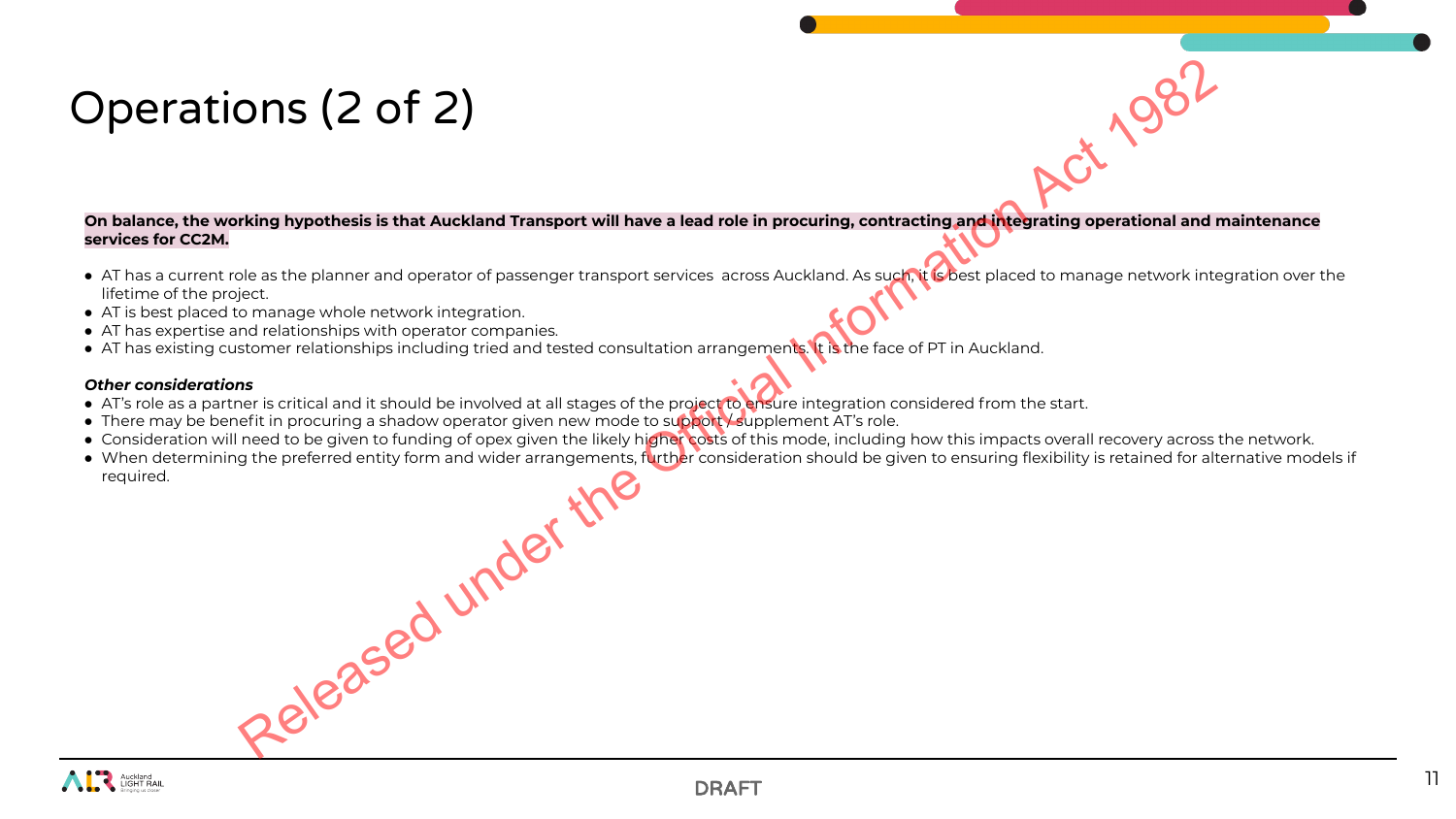# Operations (2 of 2)

**On balance, the working hypothesis is that Auckland Transport will have a lead role in procuring, contracting and integrating operational and maintenance services for CC2M.**

- AT has a current role as the planner and operator of passenger transport services across Auckland. As such, it is best placed to manage network integration over the lifetime of the project.
- AT is best placed to manage whole network integration.
- AT has expertise and relationships with operator companies.
- AT has existing customer relationships including tried and tested consultation arrangements. It is the face of PT in Auckland.

### *Other considerations*

- AT's role as a partner is critical and it should be involved at all stages of the project to ensure integration considered from the start.
- There may be benefit in procuring a shadow operator given new mode to support supplement AT's role.
- Consideration will need to be given to funding of opex given the likely higher costs of this mode, including how this impacts overall recovery across the network.
- When determining the preferred entity form and wider arrangements, further consideration should be given to ensuring flexibility is retained for alternative models if required. Released under the

11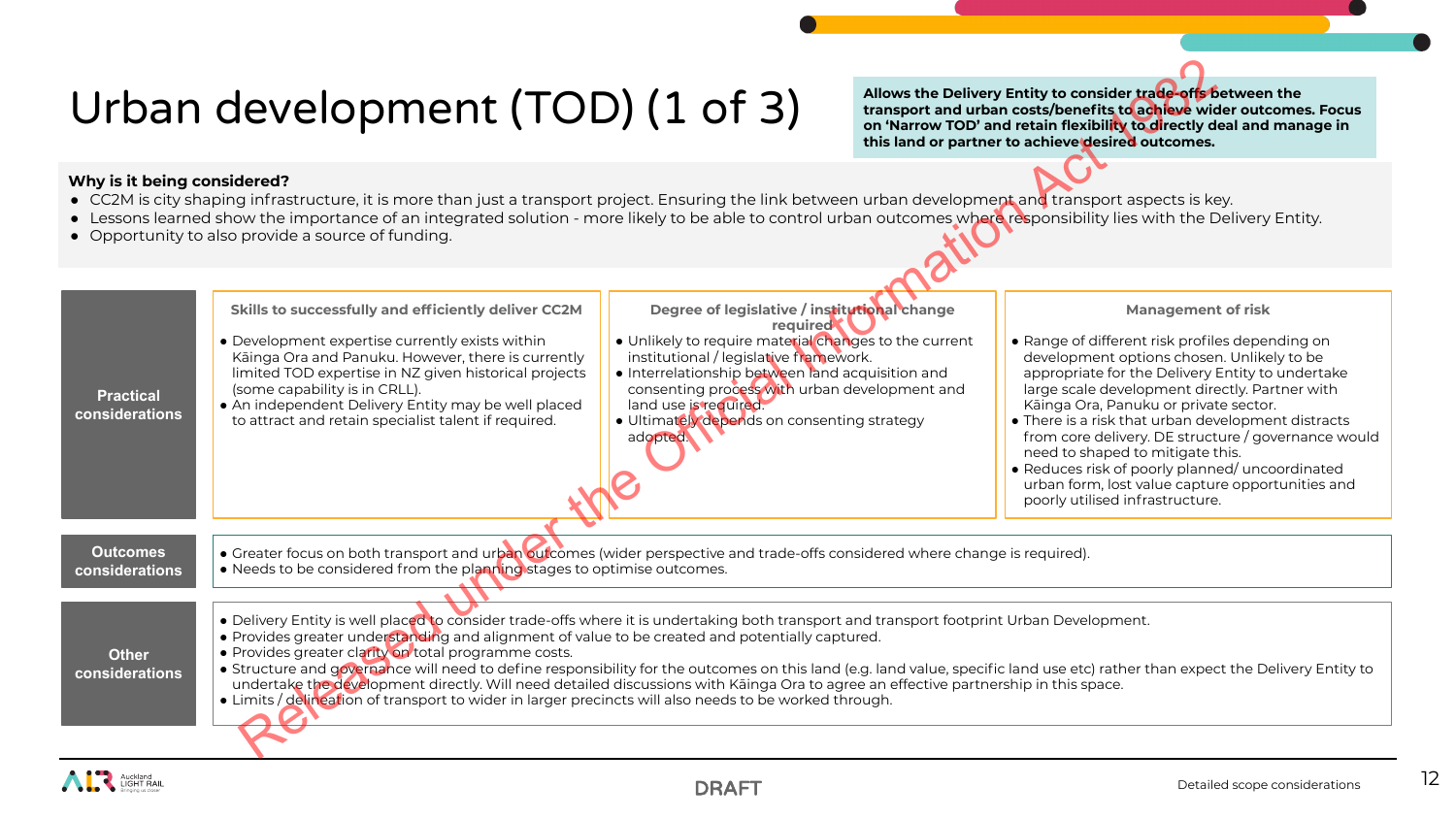# Urban development (TOD) (1 of 3)

- CC2M is city shaping infrastructure, it is more than just a transport project. Ensuring the link between urban development and transport aspects is key.
- Lessons learned show the importance of an integrated solution more likely to be able to control urban outcomes where responsibility lies with the Delivery Entity.
- Opportunity to also provide a source of funding.

|                                    | Urban development (TOD) (1 of 3)                                                                                                                                                                                                                                                                                                                                                                                                                                                                                                                      |                                                                                                                                                                                                                                                                                                                                                      |  | Allows the Delivery Entity to consider trade-offs between the<br>transport and urban costs/benefits to achieve wider outcomes. Focus<br>on 'Narrow TOD' and retain flexibility to directly deal and manage in<br>this land or partner to achieve desired outcomes.                                                                                                                                                                                                                                                                                                   |
|------------------------------------|-------------------------------------------------------------------------------------------------------------------------------------------------------------------------------------------------------------------------------------------------------------------------------------------------------------------------------------------------------------------------------------------------------------------------------------------------------------------------------------------------------------------------------------------------------|------------------------------------------------------------------------------------------------------------------------------------------------------------------------------------------------------------------------------------------------------------------------------------------------------------------------------------------------------|--|----------------------------------------------------------------------------------------------------------------------------------------------------------------------------------------------------------------------------------------------------------------------------------------------------------------------------------------------------------------------------------------------------------------------------------------------------------------------------------------------------------------------------------------------------------------------|
| Why is it being considered?        | • CC2M is city shaping infrastructure, it is more than just a transport project. Ensuring the link between urban development and transport aspects is key.<br>• Lessons learned show the importance of an integrated solution - more likely to be able to control urban outcomes where responsibility lies with the Delivery Entity.<br>• Opportunity to also provide a source of funding.                                                                                                                                                            |                                                                                                                                                                                                                                                                                                                                                      |  |                                                                                                                                                                                                                                                                                                                                                                                                                                                                                                                                                                      |
| <b>Practical</b><br>considerations | Skills to successfully and efficiently deliver CC2M<br>• Development expertise currently exists within<br>Kāinga Ora and Panuku. However, there is currently<br>limited TOD expertise in NZ given historical projects<br>(some capability is in CRLL).<br>• An independent Delivery Entity may be well placed<br>to attract and retain specialist talent if required.                                                                                                                                                                                 | Degree of legislative / institutional change<br>required<br>. Unlikely to require material changes to the current<br>institutional / legislative framework.<br>• Interrelationship between land acquisition and<br>consenting process with urban development and<br>land use is required.<br>· Ultimately depends on consenting strategy<br>adopted. |  | <b>Management of risk</b><br>• Range of different risk profiles depending on<br>development options chosen. Unlikely to be<br>appropriate for the Delivery Entity to undertake<br>large scale development directly. Partner with<br>Kāinga Ora, Panuku or private sector.<br>• There is a risk that urban development distracts<br>from core delivery. DE structure / governance would<br>need to shaped to mitigate this.<br>• Reduces risk of poorly planned/ uncoordinated<br>urban form, lost value capture opportunities and<br>poorly utilised infrastructure. |
| <b>Outcomes</b><br>considerations  | • Greater focus on both transport and urban outcomes (wider perspective and trade-offs considered where change is required).<br>• Needs to be considered from the planning stages to optimise outcomes.                                                                                                                                                                                                                                                                                                                                               |                                                                                                                                                                                                                                                                                                                                                      |  |                                                                                                                                                                                                                                                                                                                                                                                                                                                                                                                                                                      |
| <b>Other</b><br>considerations     | . Delivery Entity is well placed to consider trade-offs where it is undertaking both transport and transport footprint Urban Development.<br>. Provides greater understanding and alignment of value to be created and potentially captured.<br>• Provides greater clarity on total programme costs.<br>undertake the development directly. Will need detailed discussions with Käinga Ora to agree an effective partnership in this space.<br>• Limits / delineation of transport to wider in larger precincts will also needs to be worked through. |                                                                                                                                                                                                                                                                                                                                                      |  | • Structure and governance will need to define responsibility for the outcomes on this land (e.g. land value, specific land use etc) rather than expect the Delivery Entity to                                                                                                                                                                                                                                                                                                                                                                                       |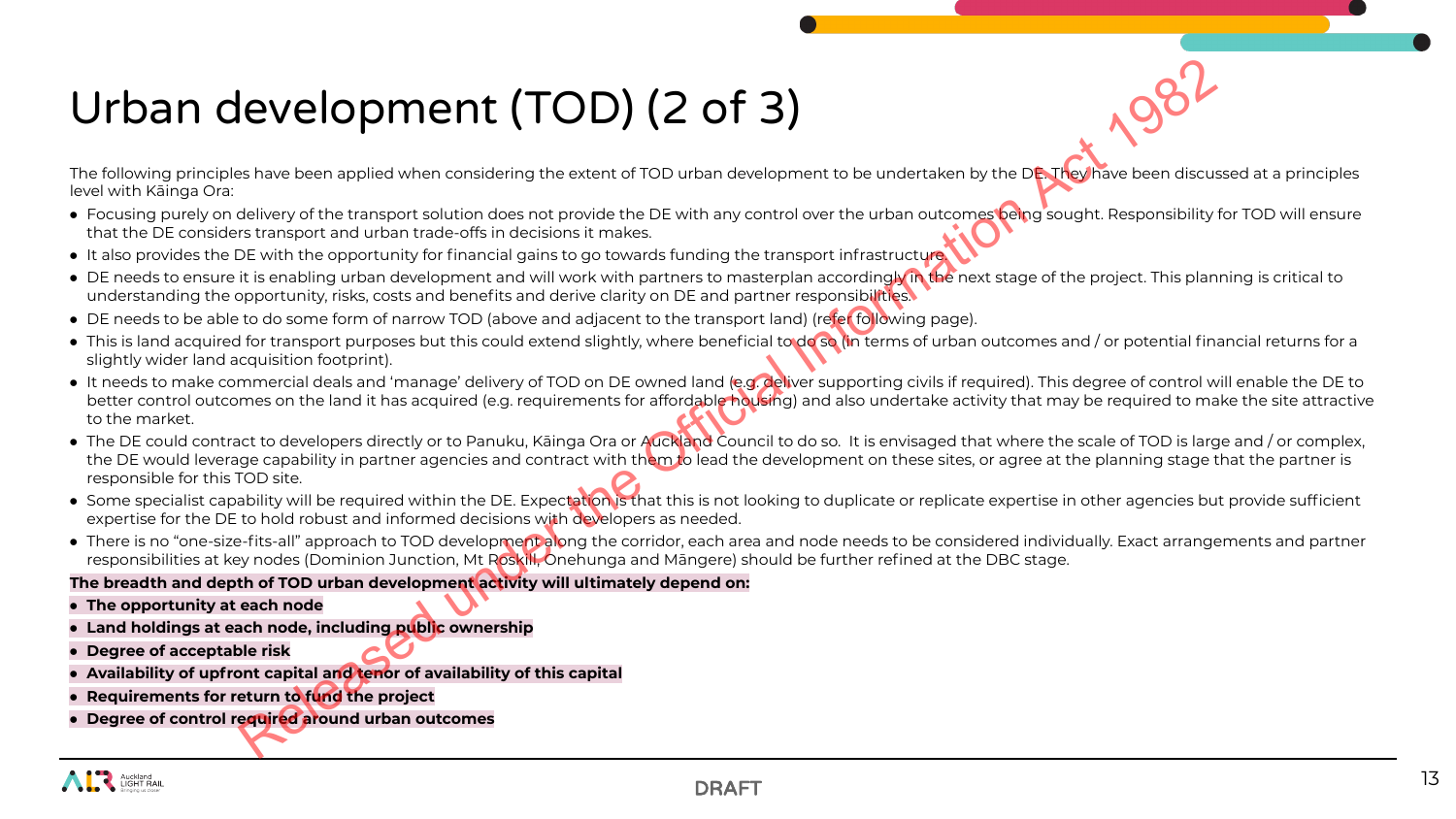# Urban development (TOD) (2 of 3)

The following principles have been applied when considering the extent of TOD urban development to be undertaken by the DE. They have been discussed at a principles level with Kāinga Ora:

- Focusing purely on delivery of the transport solution does not provide the DE with any control over the urban outcomes being sought. Responsibility for TOD will ensure that the DE considers transport and urban trade-offs in decisions it makes.
- It also provides the DE with the opportunity for financial gains to go towards funding the transport infrastructure.
- DE needs to ensure it is enabling urban development and will work with partners to masterplan according in the next stage of the project. This planning is critical to understanding the opportunity, risks, costs and benefits and derive clarity on DE and partner responsibilities.
- DE needs to be able to do some form of narrow TOD (above and adjacent to the transport land) (refer following page).
- This is land acquired for transport purposes but this could extend slightly, where beneficial to do so (in terms of urban outcomes and / or potential financial returns for a slightly wider land acquisition footprint).
- It needs to make commercial deals and 'manage' delivery of TOD on DE owned land (e.g. deliver supporting civils if required). This degree of control will enable the DE to better control outcomes on the land it has acquired (e.g. requirements for affordable housing) and also undertake activity that may be required to make the site attractive to the market.
- The DE could contract to developers directly or to Panuku, Kāinga Ora or Auckland Council to do so. It is envisaged that where the scale of TOD is large and / or complex, the DE would leverage capability in partner agencies and contract with them to lead the development on these sites, or agree at the planning stage that the partner is responsible for this TOD site. Revelopment of TOD) (2 of 3)<br>
Release applied when considering the axtent of 1010 urban development to be undertaken by the DNC where discussions<br>
be thus been applied when considering the axtent of 1010 urban development
- Some specialist capability will be required within the DE. Expectation is that this is not looking to duplicate or replicate expertise in other agencies but provide sufficient expertise for the DE to hold robust and informed decisions with developers as needed.
- There is no "one-size-fits-all" approach to TOD development along the corridor, each area and node needs to be considered individually. Exact arrangements and partner responsibilities at key nodes (Dominion Junction, Mt Roskill, Onehunga and Māngere) should be further refined at the DBC stage.

### **The breadth and depth of TOD urban development activity will ultimately depend on:**

- **● The opportunity at each node**
- **● Land holdings at each node, including public ownership**
- **● Degree of acceptable risk**
- **● Availability of upfront capital and tenor of availability of this capital**
- **● Requirements for return to fund the project**
- **● Degree of control required around urban outcomes**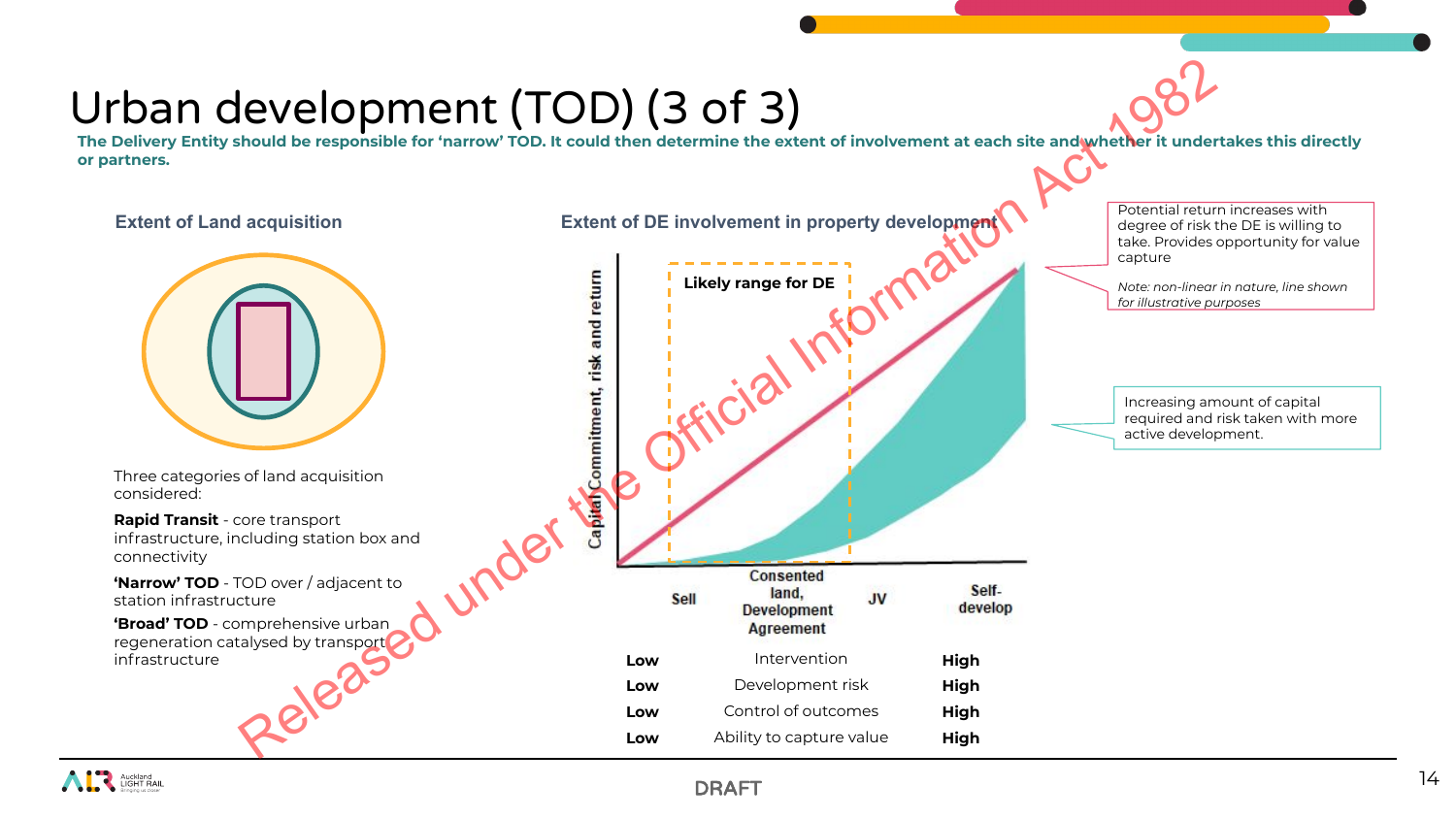# Urban development (TOD) (3 of 3)

**The Delivery Entity should be responsible for 'narrow' TOD. It could then determine the extent of involvement at each site and whether it undertakes this directly or partners.** 

### **Extent of Land acquisition Extent of DE involvement in property development**



Three categories of land acquisition considered:

**Rapid Transit** - core transport infrastructure, including station box and connectivity

**'Narrow' TOD** - TOD over / adjacent to station infrastructure

**'Broad' TOD** - comprehensive urban regeneration catalysed by transport infrastructure



Potential return increases with degree of risk the DE is willing to take. Provides opportunity for value capture

*Note: non-linear in nature, line shown for illustrative purposes*

Increasing amount of capital required and risk taken with more active development.

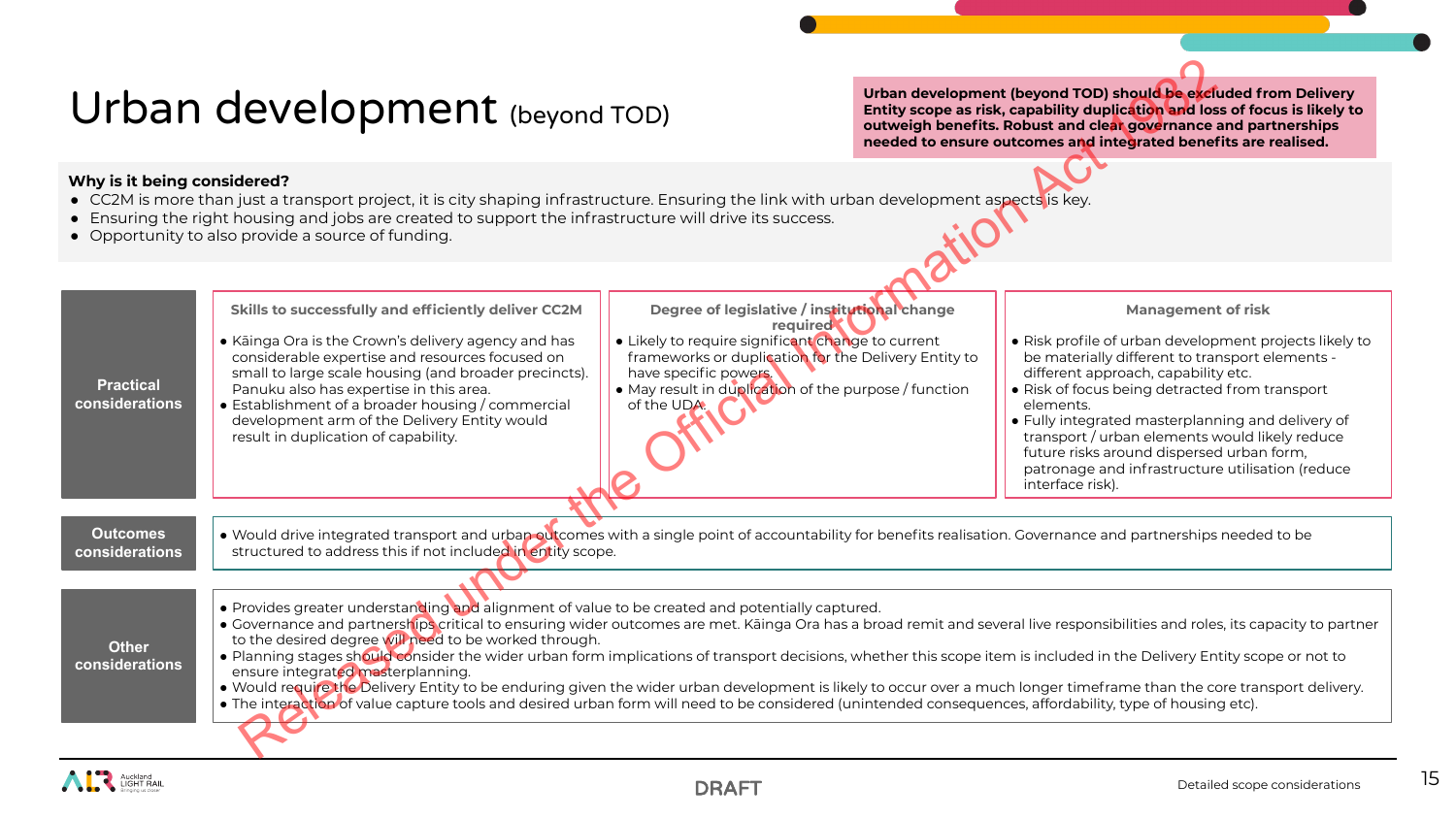## Urban development (beyond TOD)

- CC2M is more than just a transport project, it is city shaping infrastructure. Ensuring the link with urban development aspects is key.
- Ensuring the right housing and jobs are created to support the infrastructure will drive its success.
- Opportunity to also provide a source of funding.

| Urban development (beyond TOD)                                                                                                                                                                                                                                                                                                                                                                                                                                                                                                                                                                                                                                                                                                                                                                                                                                                                                                   |                                                                                                                                                                                                                                                                                                                                                                                                                |                                                                                                                                                                                                                                                                        | Urban development (beyond TOD) should be excluded from Delivery<br>Entity scope as risk, capability duplication and loss of focus is likely to<br>outweigh benefits. Robust and clear governance and partnerships<br>needed to ensure outcomes and integrated benefits are realised. |                                                                                                                                                                                                                                                                                                                                                                                                                                                                          |  |
|----------------------------------------------------------------------------------------------------------------------------------------------------------------------------------------------------------------------------------------------------------------------------------------------------------------------------------------------------------------------------------------------------------------------------------------------------------------------------------------------------------------------------------------------------------------------------------------------------------------------------------------------------------------------------------------------------------------------------------------------------------------------------------------------------------------------------------------------------------------------------------------------------------------------------------|----------------------------------------------------------------------------------------------------------------------------------------------------------------------------------------------------------------------------------------------------------------------------------------------------------------------------------------------------------------------------------------------------------------|------------------------------------------------------------------------------------------------------------------------------------------------------------------------------------------------------------------------------------------------------------------------|--------------------------------------------------------------------------------------------------------------------------------------------------------------------------------------------------------------------------------------------------------------------------------------|--------------------------------------------------------------------------------------------------------------------------------------------------------------------------------------------------------------------------------------------------------------------------------------------------------------------------------------------------------------------------------------------------------------------------------------------------------------------------|--|
| Why is it being considered?<br>• CC2M is more than just a transport project, it is city shaping infrastructure. Ensuring the link with urban development aspects is key.<br>• Ensuring the right housing and jobs are created to support the infrastructure will drive its success.<br>• Opportunity to also provide a source of funding.                                                                                                                                                                                                                                                                                                                                                                                                                                                                                                                                                                                        |                                                                                                                                                                                                                                                                                                                                                                                                                |                                                                                                                                                                                                                                                                        |                                                                                                                                                                                                                                                                                      |                                                                                                                                                                                                                                                                                                                                                                                                                                                                          |  |
| <b>Practical</b><br>considerations                                                                                                                                                                                                                                                                                                                                                                                                                                                                                                                                                                                                                                                                                                                                                                                                                                                                                               | Skills to successfully and efficiently deliver CC2M<br>• Kāinga Ora is the Crown's delivery agency and has<br>considerable expertise and resources focused on<br>small to large scale housing (and broader precincts).<br>Panuku also has expertise in this area.<br>• Establishment of a broader housing / commercial<br>development arm of the Delivery Entity would<br>result in duplication of capability. | Degree of legislative / institutional change<br>required<br>• Likely to require significant change to current<br>frameworks or duplication for the Delivery Entity to<br>have specific powers.<br>• May result in duplication of the purpose / function<br>of the UDA. |                                                                                                                                                                                                                                                                                      | <b>Management of risk</b><br>• Risk profile of urban development projects likely to<br>be materially different to transport elements -<br>different approach, capability etc.<br>• Risk of focus being detracted from transport<br>elements.<br>• Fully integrated masterplanning and delivery of<br>transport / urban elements would likely reduce<br>future risks around dispersed urban form,<br>patronage and infrastructure utilisation (reduce<br>interface risk). |  |
| <b>Outcomes</b><br>considerations                                                                                                                                                                                                                                                                                                                                                                                                                                                                                                                                                                                                                                                                                                                                                                                                                                                                                                | . Would drive integrated transport and urban outcomes with a single point of accountability for benefits realisation. Governance and partnerships needed to be<br>structured to address this if not included in entity scope.                                                                                                                                                                                  |                                                                                                                                                                                                                                                                        |                                                                                                                                                                                                                                                                                      |                                                                                                                                                                                                                                                                                                                                                                                                                                                                          |  |
| . Provides greater understanding and alignment of value to be created and potentially captured.<br>• Governance and partnerships critical to ensuring wider outcomes are met. Kāinga Ora has a broad remit and several live responsibilities and roles, its capacity to partner<br>to the desired degree will need to be worked through.<br><b>Other</b><br>. Planning stages should consider the wider urban form implications of transport decisions, whether this scope item is included in the Delivery Entity scope or not to<br>considerations<br>ensure integrated masterplanning.<br>• Would require the Delivery Entity to be enduring given the wider urban development is likely to occur over a much longer timeframe than the core transport delivery.<br>• The interaction of value capture tools and desired urban form will need to be considered (unintended consequences, affordability, type of housing etc). |                                                                                                                                                                                                                                                                                                                                                                                                                |                                                                                                                                                                                                                                                                        |                                                                                                                                                                                                                                                                                      |                                                                                                                                                                                                                                                                                                                                                                                                                                                                          |  |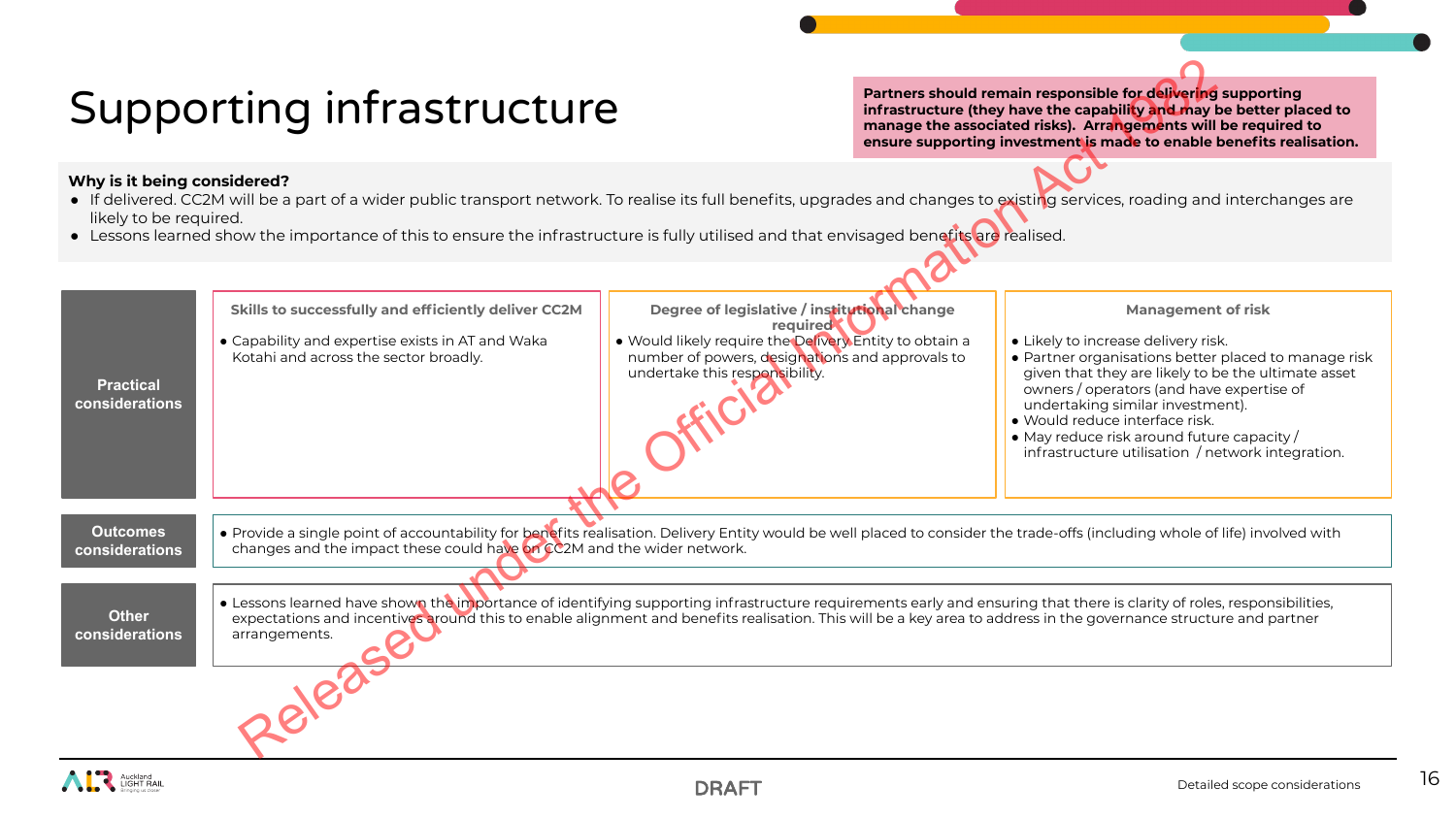# Supporting infrastructure

- If delivered. CC2M will be a part of a wider public transport network. To realise its full benefits, upgrades and changes to existing services, roading and interchanges are likely to be required.
- Lessons learned show the importance of this to ensure the infrastructure is fully utilised and that envisaged benefits are realised.

| Supporting infrastructure                                                                                                                                                                                                                                                                                                                                                         |                                                                                                                                                                                                                                                                                                                                                                                                                                                                                                                                                                                                                       |                                                                                                                                                                                                         | Partners should remain responsible for delivering supporting<br>infrastructure (they have the capability and may be better placed to<br>manage the associated risks). Arrangements will be required to<br>ensure supporting investment is made to enable benefits realisation. |                                                                                                                                                                                                                                                                                                                                                                                                       |  |
|-----------------------------------------------------------------------------------------------------------------------------------------------------------------------------------------------------------------------------------------------------------------------------------------------------------------------------------------------------------------------------------|-----------------------------------------------------------------------------------------------------------------------------------------------------------------------------------------------------------------------------------------------------------------------------------------------------------------------------------------------------------------------------------------------------------------------------------------------------------------------------------------------------------------------------------------------------------------------------------------------------------------------|---------------------------------------------------------------------------------------------------------------------------------------------------------------------------------------------------------|--------------------------------------------------------------------------------------------------------------------------------------------------------------------------------------------------------------------------------------------------------------------------------|-------------------------------------------------------------------------------------------------------------------------------------------------------------------------------------------------------------------------------------------------------------------------------------------------------------------------------------------------------------------------------------------------------|--|
| Why is it being considered?<br>• If delivered. CC2M will be a part of a wider public transport network. To realise its full benefits, upgrades and changes to existing services, roading and interchanges are<br>likely to be required.<br>• Lessons learned show the importance of this to ensure the infrastructure is fully utilised and that envisaged benefits are realised. |                                                                                                                                                                                                                                                                                                                                                                                                                                                                                                                                                                                                                       |                                                                                                                                                                                                         |                                                                                                                                                                                                                                                                                |                                                                                                                                                                                                                                                                                                                                                                                                       |  |
| <b>Practical</b><br>considerations                                                                                                                                                                                                                                                                                                                                                | Skills to successfully and efficiently deliver CC2M<br>• Capability and expertise exists in AT and Waka<br>Kotahi and across the sector broadly.                                                                                                                                                                                                                                                                                                                                                                                                                                                                      | Degree of legislative / institutional change<br>required<br>. Would likely require the Delivery Entity to obtain a<br>number of powers, designations and approvals to<br>undertake this responsibility. |                                                                                                                                                                                                                                                                                | <b>Management of risk</b><br>• Likely to increase delivery risk.<br>• Partner organisations better placed to manage risk<br>given that they are likely to be the ultimate asset<br>owners / operators (and have expertise of<br>undertaking similar investment).<br>· Would reduce interface risk.<br>• May reduce risk around future capacity /<br>infrastructure utilisation / network integration. |  |
| <b>Qutcomes</b><br>considerations<br><b>Other</b><br>considerations                                                                                                                                                                                                                                                                                                               | . Provide a single point of accountability for benefits realisation. Delivery Entity would be well placed to consider the trade-offs (including whole of life) involved with<br>changes and the impact these could have on CC2M and the wider network.<br>• Lessons learned have shown the importance of identifying supporting infrastructure requirements early and ensuring that there is clarity of roles, responsibilities,<br>expectations and incentives around this to enable alignment and benefits realisation. This will be a key area to address in the governance structure and partner<br>arrangements. |                                                                                                                                                                                                         |                                                                                                                                                                                                                                                                                |                                                                                                                                                                                                                                                                                                                                                                                                       |  |
|                                                                                                                                                                                                                                                                                                                                                                                   |                                                                                                                                                                                                                                                                                                                                                                                                                                                                                                                                                                                                                       |                                                                                                                                                                                                         |                                                                                                                                                                                                                                                                                |                                                                                                                                                                                                                                                                                                                                                                                                       |  |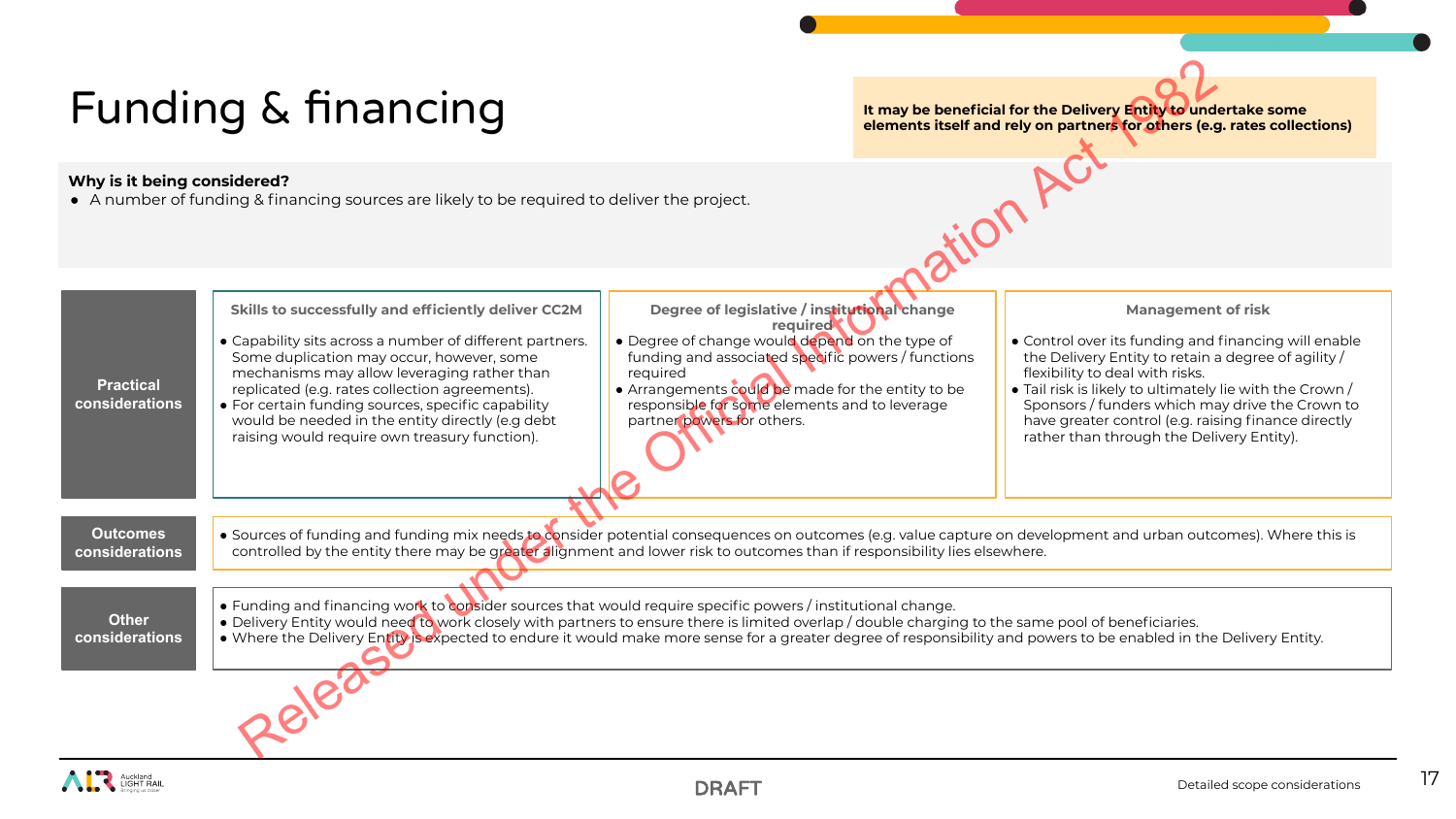# Funding & financing

**It may be beneficial for the Delivery Entity to undertake some elements itself and rely on partners for others (e.g. rates collections)** 

### **Why is it being considered?**

● A number of funding & financing sources are likely to be required to deliver the project.



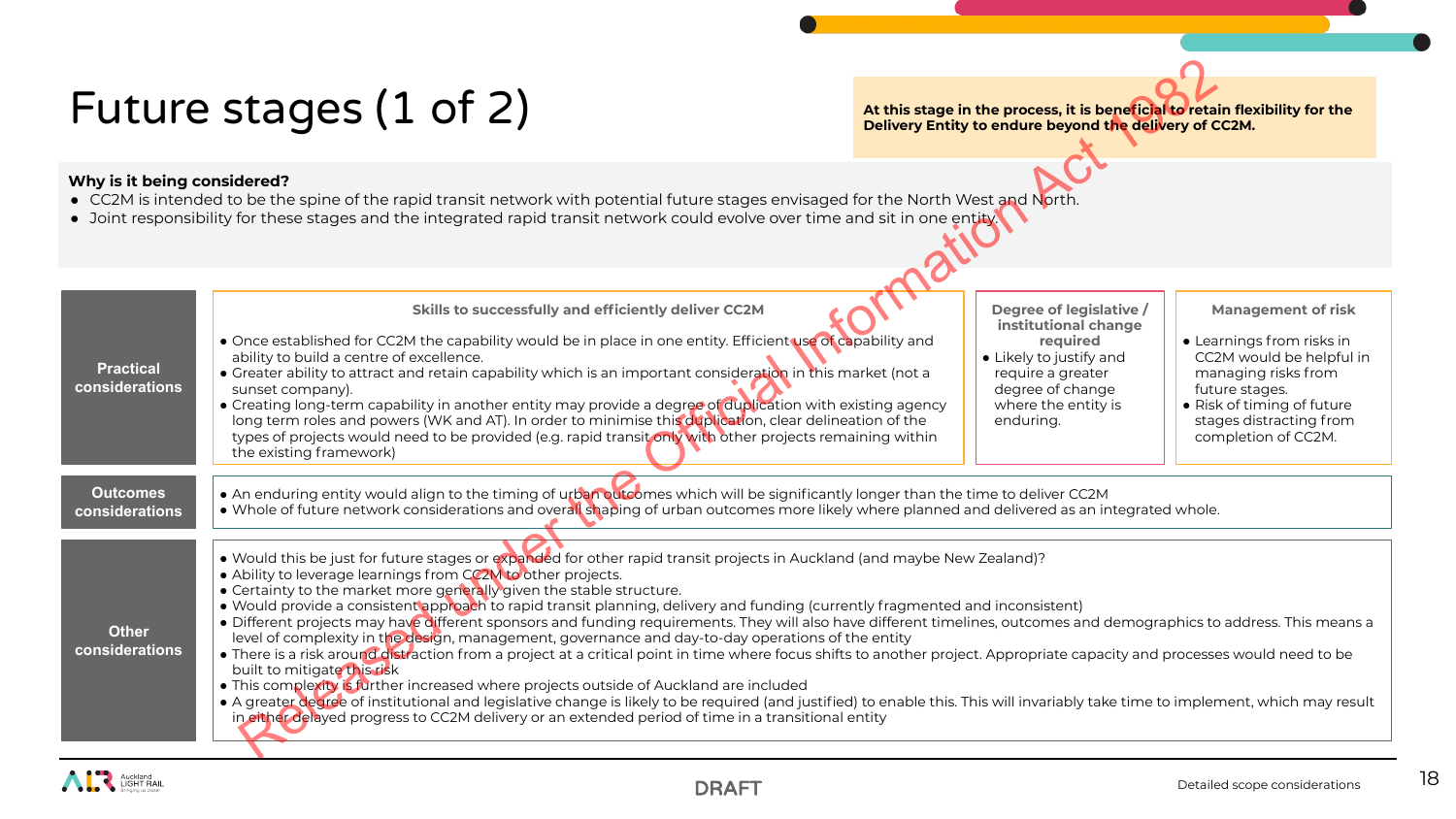# Future stages (1 of 2)

- CC2M is intended to be the spine of the rapid transit network with potential future stages envisaged for the North West and North.
- Joint responsibility for these stages and the integrated rapid transit network could evolve over time and sit in one entity.

|                                                                                                                                                                                                                                                                                                       | Future stages (1 of 2)                                                                                                                                                                                                                                                                                                                                                                                                                                                                                                                                                                                                                                                                                                                                                                                                                                                                                                                                                                                                                                                                                                                                                                                                                                                             |  | At this stage in the process, it is beneficial to retain flexibility for the<br>Delivery Entity to endure beyond the delivery of CC2M.                              |                                                                                                                                                                                                             |  |
|-------------------------------------------------------------------------------------------------------------------------------------------------------------------------------------------------------------------------------------------------------------------------------------------------------|------------------------------------------------------------------------------------------------------------------------------------------------------------------------------------------------------------------------------------------------------------------------------------------------------------------------------------------------------------------------------------------------------------------------------------------------------------------------------------------------------------------------------------------------------------------------------------------------------------------------------------------------------------------------------------------------------------------------------------------------------------------------------------------------------------------------------------------------------------------------------------------------------------------------------------------------------------------------------------------------------------------------------------------------------------------------------------------------------------------------------------------------------------------------------------------------------------------------------------------------------------------------------------|--|---------------------------------------------------------------------------------------------------------------------------------------------------------------------|-------------------------------------------------------------------------------------------------------------------------------------------------------------------------------------------------------------|--|
| Why is it being considered?<br>• CC2M is intended to be the spine of the rapid transit network with potential future stages envisaged for the North West and North.<br>• Joint responsibility for these stages and the integrated rapid transit network could evolve over time and sit in one entity. |                                                                                                                                                                                                                                                                                                                                                                                                                                                                                                                                                                                                                                                                                                                                                                                                                                                                                                                                                                                                                                                                                                                                                                                                                                                                                    |  |                                                                                                                                                                     |                                                                                                                                                                                                             |  |
| <b>Practical</b><br>considerations                                                                                                                                                                                                                                                                    | Skills to successfully and efficiently deliver CC2M<br>• Once established for CC2M the capability would be in place in one entity. Efficient use of capability and<br>ability to build a centre of excellence.<br>• Greater ability to attract and retain capability which is an important consideration in this market (not a<br>sunset company).<br>• Creating long-term capability in another entity may provide a degree of duplication with existing agency<br>long term roles and powers (WK and AT). In order to minimise this duplication, clear delineation of the<br>types of projects would need to be provided (e.g. rapid transit only with other projects remaining within<br>the existing framework)                                                                                                                                                                                                                                                                                                                                                                                                                                                                                                                                                                |  | Degree of legislative /<br>institutional change<br>required<br>• Likely to justify and<br>require a greater<br>degree of change<br>where the entity is<br>enduring. | <b>Management of risk</b><br>• Learnings from risks in<br>CC2M would be helpful in<br>managing risks from<br>future stages.<br>• Risk of timing of future<br>stages distracting from<br>completion of CC2M. |  |
| <b>Outcomes</b><br>considerations                                                                                                                                                                                                                                                                     | • An enduring entity would align to the timing of urban outcomes which will be significantly longer than the time to deliver CC2M<br>• Whole of future network considerations and overall shaping of urban outcomes more likely where planned and delivered as an integrated whole.                                                                                                                                                                                                                                                                                                                                                                                                                                                                                                                                                                                                                                                                                                                                                                                                                                                                                                                                                                                                |  |                                                                                                                                                                     |                                                                                                                                                                                                             |  |
| <b>Other</b><br>considerations                                                                                                                                                                                                                                                                        | • Would this be just for future stages or expanded for other rapid transit projects in Auckland (and maybe New Zealand)?<br>• Ability to leverage learnings from CC2M to other projects.<br>• Certainty to the market more generally given the stable structure.<br>• Would provide a consistent approach to rapid transit planning, delivery and funding (currently fragmented and inconsistent)<br>· Different projects may have different sponsors and funding requirements. They will also have different timelines, outcomes and demographics to address. This means a<br>level of complexity in the design, management, governance and day-to-day operations of the entity<br>• There is a risk around distraction from a project at a critical point in time where focus shifts to another project. Appropriate capacity and processes would need to be<br>built to mitigate this risk<br>. This complexity is further increased where projects outside of Auckland are included<br>• A greater degree of institutional and legislative change is likely to be required (and justified) to enable this. This will invariably take time to implement, which may result<br>in either delayed progress to CC2M delivery or an extended period of time in a transitional entity |  |                                                                                                                                                                     |                                                                                                                                                                                                             |  |

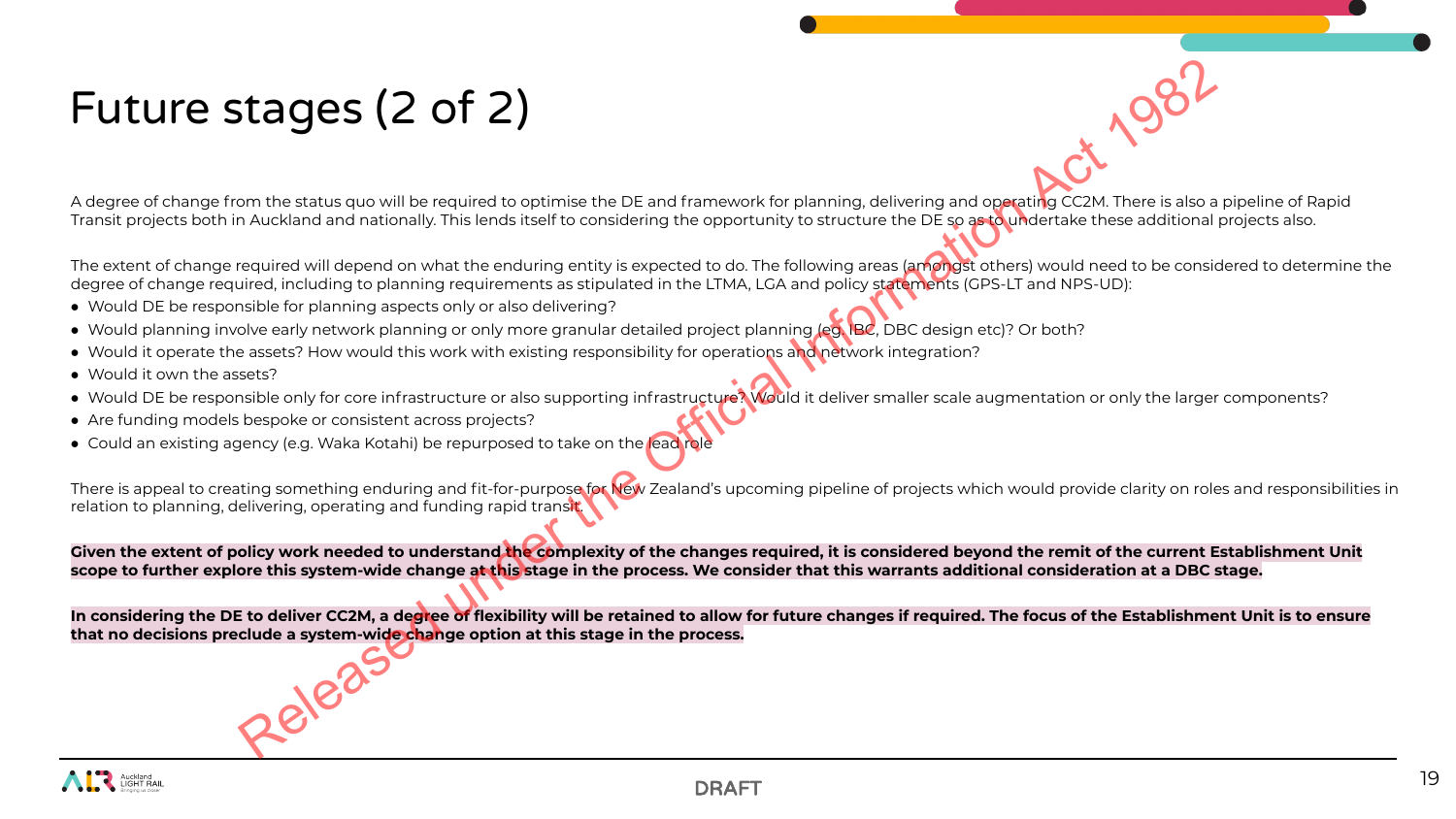# Future stages (2 of 2)

A degree of change from the status quo will be required to optimise the DE and framework for planning, delivering and operating CC2M. There is also a pipeline of Rapid Transit projects both in Auckland and nationally. This lends itself to considering the opportunity to structure the DE so as to undertake these additional projects also.

The extent of change required will depend on what the enduring entity is expected to do. The following areas (amongst others) would need to be considered to determine the degree of change required, including to planning requirements as stipulated in the LTMA, LGA and policy statements (GPS-LT and NPS-UD):

- Would DE be responsible for planning aspects only or also delivering?
- Would planning involve early network planning or only more granular detailed project planning (eg. IBC, DBC design etc)? Or both?
- Would it operate the assets? How would this work with existing responsibility for operations and network integration?
- Would it own the assets?
- Would DE be responsible only for core infrastructure or also supporting infrastructure? Would it deliver smaller scale augmentation or only the larger components?
- Are funding models bespoke or consistent across projects?
- Could an existing agency (e.g. Waka Kotahi) be repurposed to take on the lead role

There is appeal to creating something enduring and fit-for-purpose for New Zealand's upcoming pipeline of projects which would provide clarity on roles and responsibilities in relation to planning, delivering, operating and funding rapid transit. **Example 2008 (2 of 2)**<br>
Somethie at a statistical Complete the DE and framework for planning, delivering and operating CAM. There is also<br>
A Auckland and nationally, this lends from the online of the opportunity to struct

Given the extent of policy work needed to understand the complexity of the changes required, it is considered beyond the remit of the current Establishment Unit **scope to further explore this system-wide change at this stage in the process. We consider that this warrants additional consideration at a DBC stage.**

**In considering the DE to deliver CC2M, a degree of flexibility will be retained to allow for future changes if required. The focus of the Establishment Unit is to ensure that no decisions preclude a system-wide change option at this stage in the process.**